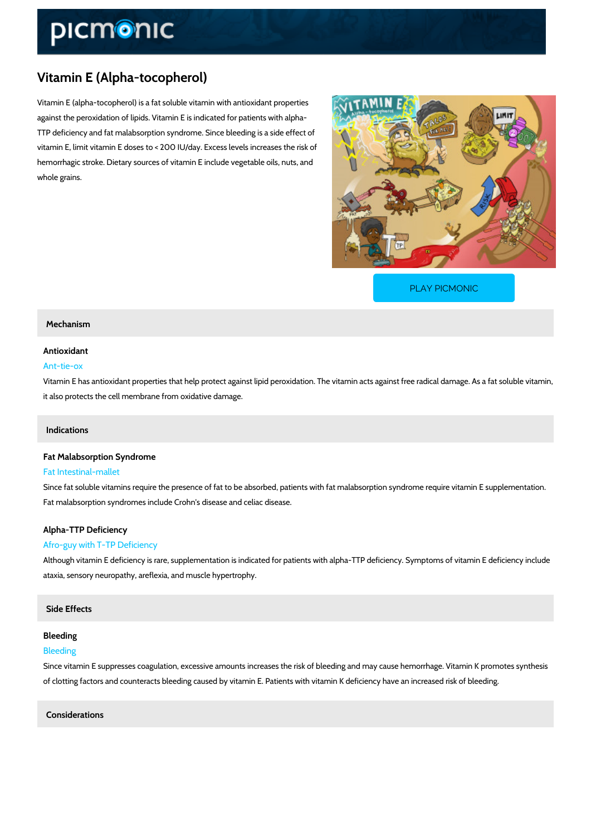## Vitamin E (Alpha-tocopherol)

Vitamin E (alpha-tocopherol) is a fat soluble vitamin with antioxidant properties against the peroxidation of lipids. Vitamin E is indicated for patients with alpha- TTP deficiency and fat malabsorption syndrome. Since bleeding is a side effect of vitamin E, limit vitamin E doses to < 200 IU/day. Excess levels increases the risk of hemorrhagic stroke. Dietary sources of vitamin E include vegetable oils, nuts, and whole grains.

[PLAY PICMONIC](https://www.picmonic.com/learn/vitamin-e-alpha-tocopherol_2192?utm_source=downloadable_content&utm_medium=distributedcontent&utm_campaign=pathways_pdf&utm_content=Vitamin E (Alpha-tocopherol)&utm_ad_group=leads&utm_market=all)

#### Mechanism

## Antioxidant

#### Ant-tie-ox

Vitamin E has antioxidant properties that help protect against lipid peroxidation. The vitamin it also protects the cell membrane from oxidative damage.

#### Indications

#### Fat Malabsorption Syndrome Fat Intestinal-mallet

Since fat soluble vitamins require the presence of fat to be absorbed, patients with fat malabe Fat malabsorption syndromes include Crohn's disease and celiac disease.

## Alpha-TTP Deficiency

#### Afro-guy with T-TP Deficiency

Although vitamin E deficiency is rare, supplementation is indicated for patients with alpha-TT ataxia, sensory neuropathy, areflexia, and muscle hypertrophy.

#### Side Effects

#### Bleeding

#### Bleeding

Since vitamin E suppresses coagulation, excessive amounts increases the risk of bleeding and of clotting factors and counteracts bleeding caused by vitamin E. Patients with vitamin K defi

## Considerations